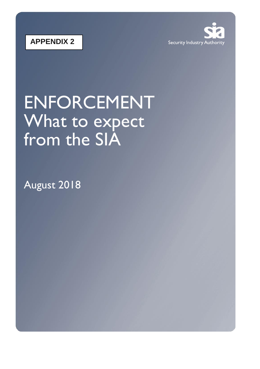



# ENFORCEMENT What to expect from the SIA

August 2018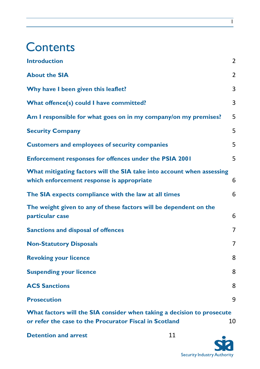## **Contents**

| <b>Introduction</b>                                                                                                | 2              |
|--------------------------------------------------------------------------------------------------------------------|----------------|
| <b>About the SIA</b>                                                                                               | 2              |
| Why have I been given this leaflet?                                                                                | 3              |
| What offence(s) could I have committed?                                                                            | 3              |
| Am I responsible for what goes on in my company/on my premises?                                                    | 5              |
| <b>Security Company</b>                                                                                            | 5              |
| <b>Customers and employees of security companies</b>                                                               | 5              |
| <b>Enforcement responses for offences under the PSIA 2001</b>                                                      | 5              |
| What mitigating factors will the SIA take into account when assessing<br>which enforcement response is appropriate | 6              |
| The SIA expects compliance with the law at all times                                                               | 6              |
| The weight given to any of these factors will be dependent on the<br>particular case                               | 6              |
| <b>Sanctions and disposal of offences</b>                                                                          | $\overline{7}$ |
| <b>Non-Statutory Disposals</b>                                                                                     | 7              |
| <b>Revoking your licence</b>                                                                                       | 8              |
| <b>Suspending your licence</b>                                                                                     | 8              |
| <b>ACS Sanctions</b>                                                                                               | 8              |
| <b>Prosecution</b>                                                                                                 | 9              |
| What factors will the SIA consider when taking a decision to prosecute                                             |                |

**[or refer the case to the Procurator Fiscal in Scotland](#page-11-0)** 10

**[Detention and arrest](#page-12-0)** 11



1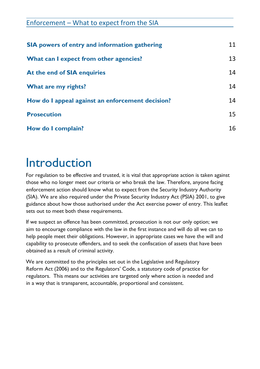| Enforcement – What to expect from the SIA            |    |  |
|------------------------------------------------------|----|--|
| <b>SIA</b> powers of entry and information gathering | 11 |  |
| What can I expect from other agencies?               | 13 |  |
| At the end of SIA enquiries                          | 14 |  |
| What are my rights?                                  | 14 |  |
| How do I appeal against an enforcement decision?     | 14 |  |
| <b>Prosecution</b>                                   | 15 |  |
| How do I complain?                                   | 16 |  |

## <span id="page-3-0"></span>Introduction

For regulation to be effective and trusted, it is vital that appropriate action is taken against those who no longer meet our criteria or who break the law. Therefore, anyone facing enforcement action should know what to expect from the Security Industry Authority (SIA). We are also required under the Private Security Industry Act (PSIA) 2001, to give guidance about how those authorised under the Act exercise power of entry. This leaflet sets out to meet both these requirements.

If we suspect an offence has been committed, prosecution is not our only option; we aim to encourage compliance with the law in the first instance and will do all we can to help people meet their obligations. However, in appropriate cases we have the will and capability to prosecute offenders, and to seek the confiscation of assets that have been obtained as a result of criminal activity.

We are committed to the principles set out in the Legislative and Regulatory Reform Act (2006) and to the Regulators' Code, a statutory code of practice for regulators. This means our activities are targeted only where action is needed and in a way that is transparent, accountable, proportional and consistent.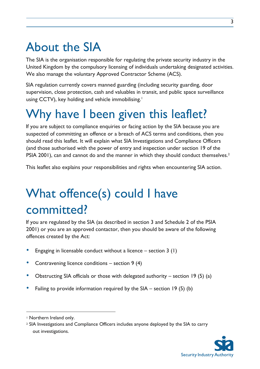# <span id="page-4-0"></span>About the SIA

The SIA is the organisation responsible for regulating the private security industry in the United Kingdom by the compulsory licensing of individuals undertaking designated activities. We also manage the voluntary Approved Contractor Scheme (ACS).

SIA regulation currently covers manned guarding (including security guarding, door supervision, close protection, cash and valuables in transit, and public space surveillance using CCTV), key holding and vehicle immobilising.<sup>1</sup>

# <span id="page-4-1"></span>Why have I been given this leaflet?

If you are subject to compliance enquiries or facing action by the SIA because you are suspected of committing an offence or a breach of ACS terms and conditions, then you should read this leaflet. It will explain what SIA Investigations and Compliance Officers (and those authorised with the power of entry and inspection under section 19 of the PSIA 2001), can and cannot do and the manner in which they should conduct themselves.<sup>2</sup>

This leaflet also explains your responsibilities and rights when encountering SIA action.

# <span id="page-4-2"></span>What offence(s) could I have committed?

If you are regulated by the SIA (as described in section 3 and Schedule 2 of the PSIA 2001) or you are an approved contactor, then you should be aware of the following offences created by the Act:

- Engaging in licensable conduct without a licence  $-$  section 3 (1)
- Contravening licence conditions  $-$  section 9 (4)
- Obstructing SIA officials or those with delegated authority section 19 (5) (a)
- Failing to provide information required by the  $SIA -$  section 19 (5) (b)

 $\overline{a}$ 

<sup>2</sup> SIA Investigations and Compliance Officers includes anyone deployed by the SIA to carry out investigations.



<sup>1</sup> Northern Ireland only.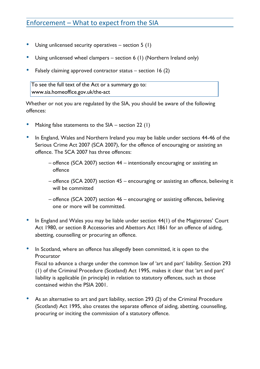- Using unlicensed security operatives  $-$  section 5 (1)
- Using unlicensed wheel clampers section 6 (1) (Northern Ireland only)
- Falsely claiming approved contractor status section 16 (2)

To see the full text of the Act or a summary go to: www.sia.homeoffice.gov.uk/the-act

Whether or not you are regulated by the SIA, you should be aware of the following offences:

- Making false statements to the  $SIA$  section 22 (1)
- In England, Wales and Northern Ireland you may be liable under sections 44-46 of the Serious Crime Act 2007 (SCA 2007), for the offence of encouraging or assisting an offence. The SCA 2007 has three offences:
	- offence (SCA 2007) section 44 intentionally encouraging or assisting an offence
	- offence (SCA 2007) section 45 encouraging or assisting an offence, believing it will be committed
	- offence (SCA 2007) section 46 encouraging or assisting offences, believing one or more will be committed.
- In England and Wales you may be liable under section 44(1) of the Magistrates' Court Act 1980, or section 8 Accessories and Abettors Act 1861 for an offence of aiding, abetting, counselling or procuring an offence.
- In Scotland, where an offence has allegedly been committed, it is open to the Procurator

Fiscal to advance a charge under the common law of 'art and part' liability. Section 293 (1) of the Criminal Procedure (Scotland) Act 1995, makes it clear that 'art and part' liability is applicable (in principle) in relation to statutory offences, such as those contained within the PSIA 2001.

As an alternative to art and part liability, section 293 (2) of the Criminal Procedure (Scotland) Act 1995, also creates the separate offence of aiding, abetting, counselling, procuring or inciting the commission of a statutory offence.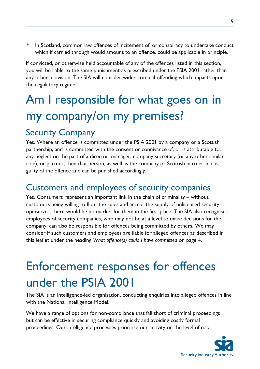• In Scotland, common law offences of incitement of, or conspiracy to undertake conduct which if carried through would amount to an offence, could be applicable in principle.

If convicted, or otherwise held accountable of any of the offences listed in this section, you will be liable to the same punishment as prescribed under the PSIA 2001 rather than any other provision. The SIA will consider wider criminal offending which impacts upon the regulatory regime.

# <span id="page-6-0"></span>Am I responsible for what goes on in my company/on my premises?

### <span id="page-6-1"></span>Security Company

Yes. Where an offence is committed under the PSIA 2001 by a company or a Scottish partnership, and is committed with the consent or connivance of, or is attributable to, any neglect on the part of a director, manager, company secretary (or any other similar role), or partner, then that person, as well as the company or Scottish partnership, is guilty of the offence and can be punished accordingly.

### <span id="page-6-2"></span>Customers and employees of security companies

Yes. Consumers represent an important link in the chain of criminality – without customers being willing to flout the rules and accept the supply of unlicensed security operatives, there would be no market for them in the first place. The SIA also recognises employees of security companies, who may not be at a level to make decisions for the company, can also be responsible for offences being committed by others. We may consider if such customers and employees are liable for alleged offences as described in this leaflet under the heading *What offence(s) could I have committed* on page 4.

# <span id="page-6-3"></span>Enforcement responses for offences under the PSIA 2001

The SIA is an intelligence-led organisation, conducting enquiries into alleged offences in line with the National Intelligence Model.

We have a range of options for non-compliance that fall short of criminal proceedings but can be effective in securing compliance quickly and avoiding costly formal proceedings. Our intelligence processes prioritise our activity on the level of risk

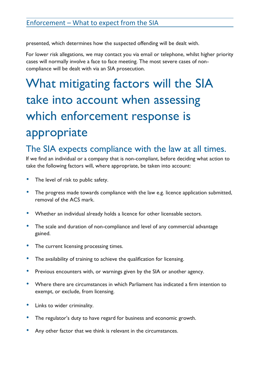presented, which determines how the suspected offending will be dealt with.

For lower risk allegations, we may contact you via email or telephone, whilst higher priority cases will normally involve a face to face meeting. The most severe cases of noncompliance will be dealt with via an SIA prosecution.

# <span id="page-7-0"></span>What mitigating factors will the SIA take into account when assessing which enforcement response is appropriate

### <span id="page-7-1"></span>The SIA expects compliance with the law at all times.

If we find an individual or a company that is non-compliant, before deciding what action to take the following factors will, where appropriate, be taken into account:

- The level of risk to public safety.
- The progress made towards compliance with the law e.g. licence application submitted, removal of the ACS mark.
- Whether an individual already holds a licence for other licensable sectors.
- The scale and duration of non-compliance and level of any commercial advantage gained.
- The current licensing processing times.
- The availability of training to achieve the qualification for licensing.
- Previous encounters with, or warnings given by the SIA or another agency.
- Where there are circumstances in which Parliament has indicated a firm intention to exempt, or exclude, from licensing.
- Links to wider criminality.
- The regulator's duty to have regard for business and economic growth.
- Any other factor that we think is relevant in the circumstances.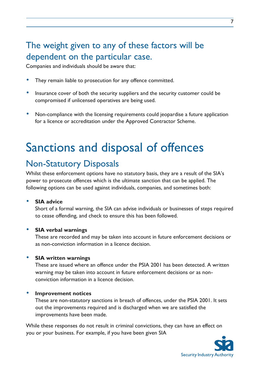## <span id="page-8-0"></span>The weight given to any of these factors will be dependent on the particular case.

Companies and individuals should be aware that:

- They remain liable to prosecution for any offence committed.
- Insurance cover of both the security suppliers and the security customer could be compromised if unlicensed operatives are being used.
- Non-compliance with the licensing requirements could jeopardise a future application for a licence or accreditation under the Approved Contractor Scheme.

## <span id="page-8-1"></span>Sanctions and disposal of offences

## <span id="page-8-2"></span>Non-Statutory Disposals

Whilst these enforcement options have no statutory basis, they are a result of the SIA's power to prosecute offences which is the ultimate sanction that can be applied. The following options can be used against individuals, companies, and sometimes both:

• **SIA advice** 

Short of a formal warning, the SIA can advise individuals or businesses of steps required to cease offending, and check to ensure this has been followed.

#### • **SIA verbal warnings**

These are recorded and may be taken into account in future enforcement decisions or as non-conviction information in a licence decision.

#### • **SIA written warnings**

These are issued where an offence under the PSIA 2001 has been detected. A written warning may be taken into account in future enforcement decisions or as nonconviction information in a licence decision.

#### • **Improvement notices**

These are non-statutory sanctions in breach of offences, under the PSIA 2001. It sets out the improvements required and is discharged when we are satisfied the improvements have been made.

While these responses do not result in criminal convictions, they can have an effect on you or your business. For example, if you have been given SIA

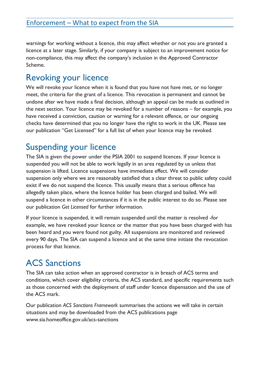warnings for working without a licence, this may affect whether or not you are granted a licence at a later stage. Similarly, if your company is subject to an improvement notice for non-compliance, this may affect the company's inclusion in the Approved Contractor Scheme.

## <span id="page-9-0"></span>Revoking your licence

We will revoke your licence when it is found that you have not have met, or no longer meet, the criteria for the grant of a licence. This revocation is permanent and cannot be undone after we have made a final decision, although an appeal can be made as outlined in the next section. Your licence may be revoked for a number of reasons – for example, you have received a conviction, caution or warning for a relevant offence, or our ongoing checks have determined that you no longer have the right to work in the UK. Please see our publication "Get Licensed" for a full list of when your licence may be revoked.

## <span id="page-9-1"></span>Suspending your licence

The SIA is given the power under the PSIA 2001 to suspend licences. If your licence is suspended you will not be able to work legally in an area regulated by us unless that suspension is lifted. Licence suspensions have immediate effect. We will consider suspension only where we are reasonably satisfied that a clear threat to public safety could exist if we do not suspend the licence. This usually means that a serious offence has allegedly taken place, where the licence holder has been charged and bailed. We will suspend a licence in other circumstances if it is in the public interest to do so. Please see our publication *Get Licensed* for further information.

If your licence is suspended, it will remain suspended until the matter is resolved -for example, we have revoked your licence or the matter that you have been charged with has been heard and you were found not guilty. All suspensions are monitored and reviewed every 90 days. The SIA can suspend a licence and at the same time initiate the revocation process for that licence.

## <span id="page-9-2"></span>ACS Sanctions

The SIA can take action when an approved contractor is in breach of ACS terms and conditions, which cover eligibility criteria, the ACS standard, and specific requirements such as those concerned with the deployment of staff under licence dispensation and the use of the ACS mark.

Our publication *ACS Sanctions Framework* summarises the actions we will take in certain situations and may be downloaded from the ACS publications page www.sia.homeoffice.gov.uk/acs-sanctions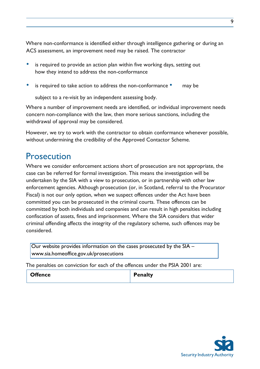Where non-conformance is identified either through intelligence gathering or during an ACS assessment, an improvement need may be raised. The contractor

- is required to provide an action plan within five working days, setting out how they intend to address the non-conformance
- is required to take action to address the non-conformance may be

subject to a re-visit by an independent assessing body.

Where a number of improvement needs are identified, or individual improvement needs concern non-compliance with the law, then more serious sanctions, including the withdrawal of approval may be considered.

However, we try to work with the contractor to obtain conformance whenever possible, without undermining the credibility of the Approved Contactor Scheme.

### <span id="page-10-0"></span>**Prosecution**

Where we consider enforcement actions short of prosecution are not appropriate, the case can be referred for formal investigation. This means the investigation will be undertaken by the SIA with a view to prosecution, or in partnership with other law enforcement agencies. Although prosecution (or, in Scotland, referral to the Procurator Fiscal) is not our only option, when we suspect offences under the Act have been committed you can be prosecuted in the criminal courts. These offences can be committed by both individuals and companies and can result in high penalties including confiscation of assets, fines and imprisonment. Where the SIA considers that wider criminal offending affects the integrity of the regulatory scheme, such offences may be considered.

Our website provides information on the cases prosecuted by the SIA – www.sia.homeoffice.gov.uk/prosecutions

The penalties on conviction for each of the offences under the PSIA 2001 are:

**Penalty** 

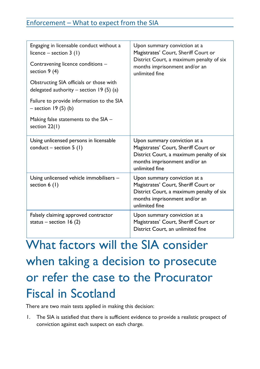| Engaging in licensable conduct without a<br>licence – section $3(1)$<br>Contravening licence conditions - | Upon summary conviction at a<br>Magistrates' Court, Sheriff Court or<br>District Court, a maximum penalty of six<br>months imprisonment and/or an<br>unlimited fine |  |
|-----------------------------------------------------------------------------------------------------------|---------------------------------------------------------------------------------------------------------------------------------------------------------------------|--|
| section 9 (4)                                                                                             |                                                                                                                                                                     |  |
| Obstructing SIA officials or those with<br>delegated authority – section 19 $(5)$ (a)                     |                                                                                                                                                                     |  |
| Failure to provide information to the SIA<br>$-$ section 19 (5) (b)                                       |                                                                                                                                                                     |  |
| Making false statements to the SIA -<br>section $22(1)$                                                   |                                                                                                                                                                     |  |
| Using unlicensed persons in licensable<br>conduct – section $5(1)$                                        | Upon summary conviction at a<br>Magistrates' Court, Sheriff Court or<br>District Court, a maximum penalty of six<br>months imprisonment and/or an<br>unlimited fine |  |
| Using unlicensed vehicle immobilisers -<br>section $6(1)$                                                 | Upon summary conviction at a<br>Magistrates' Court, Sheriff Court or<br>District Court, a maximum penalty of six<br>months imprisonment and/or an<br>unlimited fine |  |
| Falsely claiming approved contractor<br>status – section 16 $(2)$                                         | Upon summary conviction at a<br>Magistrates' Court, Sheriff Court or<br>District Court, an unlimited fine                                                           |  |

# <span id="page-11-0"></span>What factors will the SIA consider when taking a decision to prosecute or refer the case to the Procurator Fiscal in Scotland

There are two main tests applied in making this decision:

1. The SIA is satisfied that there is sufficient evidence to provide a realistic prospect of conviction against each suspect on each charge.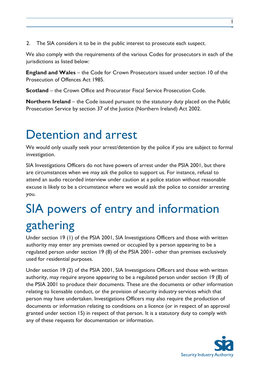2. The SIA considers it to be in the public interest to prosecute each suspect.

We also comply with the requirements of the various Codes for prosecutors in each of the jurisdictions as listed below:

**England and Wales** – the Code for Crown Prosecutors issued under section 10 of the Prosecution of Offences Act 1985.

**Scotland** – the Crown Office and Procurator Fiscal Service Prosecution Code.

**Northern Ireland** – the Code issued pursuant to the statutory duty placed on the Public Prosecution Service by section 37 of the Justice (Northern Ireland) Act 2002.

## <span id="page-12-0"></span>Detention and arrest

We would only usually seek your arrest/detention by the police if you are subject to formal investigation.

SIA Investigations Officers do not have powers of arrest under the PSIA 2001, but there are circumstances when we may ask the police to support us. For instance, refusal to attend an audio recorded interview under caution at a police station without reasonable excuse is likely to be a circumstance where we would ask the police to consider arresting you.

# <span id="page-12-1"></span>SIA powers of entry and information gathering

Under section 19 (1) of the PSIA 2001, SIA Investigations Officers and those with written authority may enter any premises owned or occupied by a person appearing to be a regulated person under section 19 (8) of the PSIA 2001- other than premises exclusively used for residential purposes.

Under section 19 (2) of the PSIA 2001, SIA Investigations Officers and those with written authority, may require anyone appearing to be a regulated person under section 19 (8) of the PSIA 2001 to produce their documents. These are the documents or other information relating to licensable conduct, or the provision of security industry services which that person may have undertaken. Investigations Officers may also require the production of documents or information relating to conditions on a licence (or in respect of an approval granted under section 15) in respect of that person. It is a statutory duty to comply with any of these requests for documentation or information.



1 l,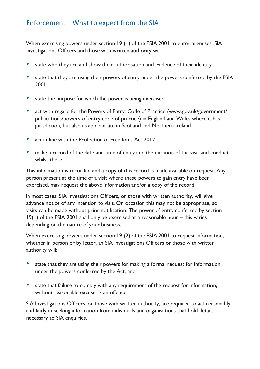When exercising powers under section 19 (1) of the PSIA 2001 to enter premises, SIA Investigations Officers and those with written authority will:

- state who they are and show their authorisation and evidence of their identity
- state that they are using their powers of entry under the powers conferred by the PSIA 2001
- state the purpose for which the power is being exercised
- act with regard for the Powers of Entry: Code of Practice (www.gov.uk/government/ publications/powers-of-entry-code-of-practice) in England and Wales where it has jurisdiction, but also as appropriate in Scotland and Northern Ireland
- act in line with the Protection of Freedoms Act 2012
- make a record of the date and time of entry and the duration of the visit and conduct whilst there.

This information is recorded and a copy of this record is made available on request. Any person present at the time of a visit where these powers to gain entry have been exercised, may request the above information and/or a copy of the record.

In most cases, SIA Investigations Officers, or those with written authority, will give advance notice of any intention to visit. On occasion this may not be appropriate, so visits can be made without prior notification. The power of entry conferred by section 19(1) of the PSIA 2001 shall only be exercised at a reasonable hour – this varies depending on the nature of your business.

When exercising powers under section 19 (2) of the PSIA 2001 to request information, whether in person or by letter, an SIA Investigations Officers or those with written authority will:

- state that they are using their powers for making a formal request for information under the powers conferred by the Act, and
- state that failure to comply with any requirement of the request for information, without reasonable excuse, is an offence.

SIA Investigations Officers, or those with written authority, are required to act reasonably and fairly in seeking information from individuals and organisations that hold details necessary to SIA enquiries.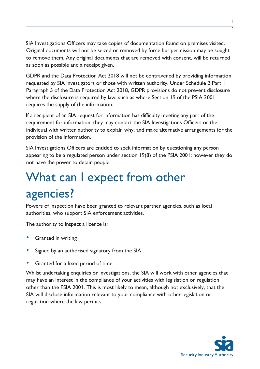SIA Investigations Officers may take copies of documentation found on premises visited. Original documents will not be seized or removed by force but permission may be sought to remove them. Any original documents that are removed with consent, will be returned as soon as possible and a receipt given.

GDPR and the Data Protection Act 2018 will not be contravened by providing information requested by SIA investigators or those with written authority. Under Schedule 2 Part 1 Paragraph 5 of the Data Protection Act 2018, GDPR provisions do not prevent disclosure where the disclosure is required by law, such as where Section 19 of the PSIA 2001 requires the supply of the information.

If a recipient of an SIA request for information has difficulty meeting any part of the requirement for information, they may contact the SIA Investigations Officers or the individual with written authority to explain why, and make alternative arrangements for the provision of the information.

SIA Investigations Officers are entitled to seek information by questioning any person appearing to be a regulated person under section 19(8) of the PSIA 2001; however they do not have the power to detain people.

# <span id="page-14-0"></span>What can I expect from other agencies?

Powers of inspection have been granted to relevant partner agencies, such as local authorities, who support SIA enforcement activities.

The authority to inspect a licence is:

- Granted in writing
- Signed by an authorised signatory from the SIA
- Granted for a fixed period of time.

Whilst undertaking enquiries or investigations, the SIA will work with other agencies that may have an interest in the compliance of your activities with legislation or regulation other than the PSIA 2001. This is most likely to mean, although not exclusively, that the SIA will disclose information relevant to your compliance with other legislation or regulation where the law permits.

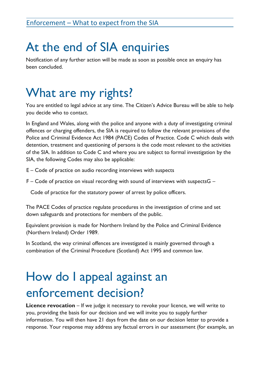# <span id="page-15-0"></span>At the end of SIA enquiries

Notification of any further action will be made as soon as possible once an enquiry has been concluded.

# <span id="page-15-1"></span>What are my rights?

You are entitled to legal advice at any time. The Citizen's Advice Bureau will be able to help you decide who to contact.

In England and Wales, along with the police and anyone with a duty of investigating criminal offences or charging offenders, the SIA is required to follow the relevant provisions of the Police and Criminal Evidence Act 1984 (PACE) Codes of Practice. Code C which deals with detention, treatment and questioning of persons is the code most relevant to the activities of the SIA. In addition to Code C and where you are subject to formal investigation by the SIA, the following Codes may also be applicable:

E – Code of practice on audio recording interviews with suspects

F – Code of practice on visual recording with sound of interviews with suspectsG –

Code of practice for the statutory power of arrest by police officers.

The PACE Codes of practice regulate procedures in the investigation of crime and set down safeguards and protections for members of the public.

Equivalent provision is made for Northern Ireland by the Police and Criminal Evidence (Northern Ireland) Order 1989.

In Scotland, the way criminal offences are investigated is mainly governed through a combination of the Criminal Procedure (Scotland) Act 1995 and common law.

# <span id="page-15-2"></span>How do I appeal against an enforcement decision?

**Licence revocation** – If we judge it necessary to revoke your licence, we will write to you, providing the basis for our decision and we will invite you to supply further information. You will then have 21 days from the date on our decision letter to provide a response. Your response may address any factual errors in our assessment (for example, an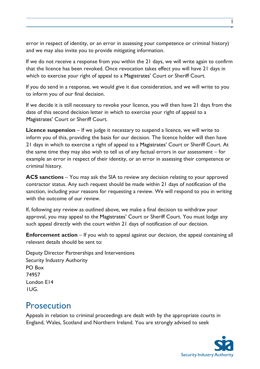error in respect of identity, or an error in assessing your competence or criminal history) and we may also invite you to provide mitigating information.

If we do not receive a response from you within the 21 days, we will write again to confirm that the licence has been revoked. Once revocation takes effect you will have 21 days in which to exercise your right of appeal to a Magistrates' Court or Sheriff Court.

If you do send in a response, we would give it due consideration, and we will write to you to inform you of our final decision.

If we decide it is still necessary to revoke your licence, you will then have 21 days from the date of this second decision letter in which to exercise your right of appeal to a Magistrates' Court or Sheriff Court.

**Licence suspension** – If we judge it necessary to suspend a licence, we will write to inform you of this, providing the basis for our decision. The licence holder will then have 21 days in which to exercise a right of appeal to a Magistrates' Court or Sheriff Court. At the same time they may also wish to tell us of any factual errors in our assessment – for example an error in respect of their identity, or an error in assessing their competence or criminal history.

**ACS sanctions** – You may ask the SIA to review any decision relating to your approved contractor status. Any such request should be made within 21 days of notification of the sanction, including your reasons for requesting a review. We will respond to you in writing with the outcome of our review.

If, following any review as outlined above, we make a final decision to withdraw your approval, you may appeal to the Magistrates' Court or Sheriff Court. You must lodge any such appeal directly with the court within 21 days of notification of our decision.

**Enforcement action** – If you wish to appeal against our decision, the appeal containing all relevant details should be sent to:

Deputy Director Partnerships and Interventions Security Industry Authority PO Box 74957 London E14 1UG.

### <span id="page-16-0"></span>**Prosecution**

Appeals in relation to criminal proceedings are dealt with by the appropriate courts in England, Wales, Scotland and Northern Ireland. You are strongly advised to seek



1 5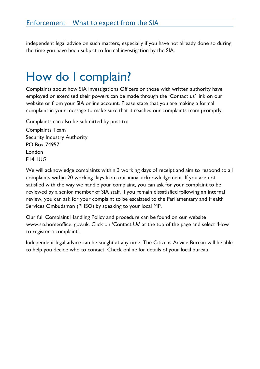independent legal advice on such matters, especially if you have not already done so during the time you have been subject to formal investigation by the SIA.

# <span id="page-17-0"></span>How do I complain?

Complaints about how SIA Investigations Officers or those with written authority have employed or exercised their powers can be made through the 'Contact us' link on our website or from your SIA online account. Please state that you are making a formal complaint in your message to make sure that it reaches our complaints team promptly.

Complaints can also be submitted by post to: Complaints Team Security Industry Authority PO Box 74957

London E14 1UG

We will acknowledge complaints within 3 working days of receipt and aim to respond to all complaints within 20 working days from our initial acknowledgement. If you are not satisfied with the way we handle your complaint, you can ask for your complaint to be reviewed by a senior member of SIA staff. If you remain dissatisfied following an internal review, you can ask for your complaint to be escalated to the Parliamentary and Health Services Ombudsman (PHSO) by speaking to your local MP.

Our full Complaint Handling Policy and procedure can be found on our website www.sia.homeoffice. gov.uk. Click on 'Contact Us' at the top of the page and select 'How to register a complaint'.

Independent legal advice can be sought at any time. The Citizens Advice Bureau will be able to help you decide who to contact. Check online for details of your local bureau.